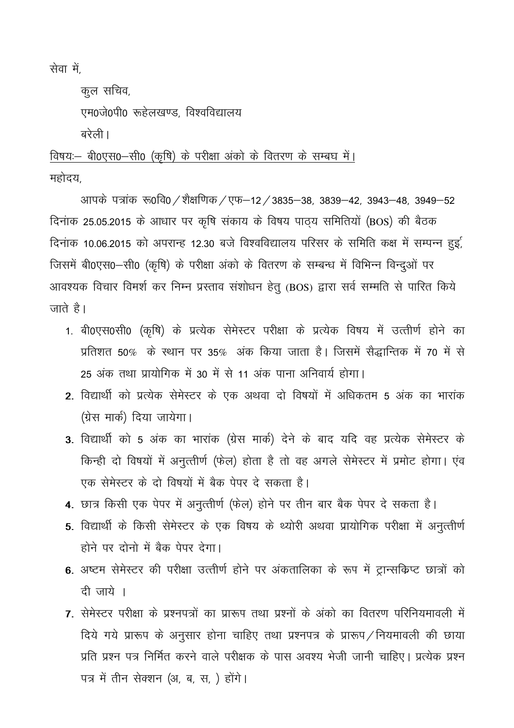सेवा में,

कूल सचिव, एम0जे0पी0 रूहेलखण्ड, विश्वविद्यालय बरेली।

तिषयः - बी0एस0-सी0 (कृषि) के परीक्षा अंको के वितरण के सम्बघ में। महोदय,

आपके पत्रांक रू0वि0 / शैक्षणिक / एफ–12 / 3835–38, 3839–42, 3943–48, 3949–52 दिनाक 25.05.2015 के आधार पर कृषि संकाय के विषय पाठ्य समितियों (BOS) की बैठक दिनाक 10.06.2015 को अपरान्ह 12.30 बजे विश्वविद्यालय परिसर के समिति कक्ष में सम्पन्न हुई, जिसमें बी0एस0-सी0 (कृषि) के परीक्षा अंको के वितरण के सम्बन्ध में विभिन्न विन्दुओं पर आवश्यक विचार विमर्श कर निम्न प्रस्ताव संशोधन हेतु (BOS) द्वारा सर्व सम्मति से पारित किये जाते है।

- 1. बी0एस0सी0 (कृषि) के प्रत्येक सेमेस्टर परीक्षा के प्रत्येक विषय में उत्त्तीर्ण होने का प्रतिशत 50%) के स्थान पर 35% अंक किया जाता है। जिसमें सैद्धान्तिक में 70 में से 25 अंक तथा प्रायोगिक में 30 में से 11 अंक पाना अनिवार्य होगा।
- 2. विद्यार्थी को प्रत्येक सेमेस्टर के एक अथवा दो विषयों में अधिकतम 5 अंक का भारांक (ग्रेस मार्क) दिया जायेगा।
- 3. विद्यार्थी को 5 अंक का भारांक (ग्रेस मार्क) देने के बाद यदि वह प्रत्येक सेमेस्टर के किन्ही दो विषयों में अनुत्तीर्ण (फेल) होता है तो वह अगले सेमेस्टर में प्रमोट होगा। एंव एक सेमेस्टर के दो विषयों में बैक पेपर दे सकता है।
- 4. छात्र किसी एक पेपर में अनुत्तीर्ण (फेल) होने पर तीन बार बैक पेपर दे सकता है।
- 5. विद्यार्थी के किसी सेमेस्टर के एक विषय के थ्योरी अथवा प्रायोगिक परीक्षा में अनुत्तीर्ण होने पर दोनो में बैक पेपर देगा।
- 6. अष्टम सेमेस्टर की परीक्षा उत्त्तीर्ण होने पर अंकतालिका के रूप में ट्रान्सक्रिप्ट छात्रों को दी जाये ।
- 7. सेमेस्टर परीक्षा के प्रश्नपत्रों का प्रारूप तथा प्रश्नों के अंको का वितरण परिनियमावली में दिये गये प्रारूप के अनुसार होना चाहिए तथा प्रश्नपत्र के प्रारूप / नियमावली की छाया प्रति प्रश्न पत्र निर्मित करने वाले परीक्षक के पास अवश्य भेजी जानी चाहिए। प्रत्येक प्रश्न पत्र में तीन सेक्शन (अ, ब, स, ) होंगे।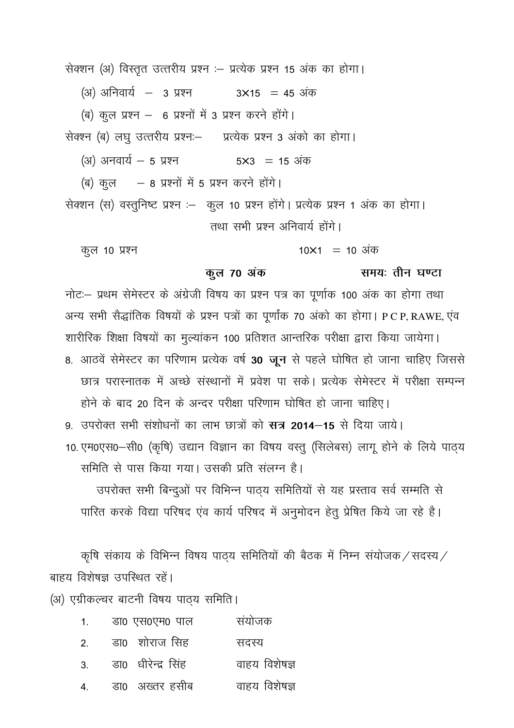सेक्शन (अ) विस्तृत उत्तरीय प्रश्न :- प्रत्येक प्रश्न 15 अंक का होगा।

(अ) अनिवार्य – 3 प्रश्न  $3\times15$  = 45 अंक

(ब) कुल प्रश्न - 6 प्रश्नों में 3 प्रश्न करने होंगे।

सेक्श्न (ब) लघु उत्तरीय प्रश्नः- प्रत्येक प्रश्न 3 अंको का होगा।

(अ) अनवार्य  $-5$  प्रश्न  $5 \times 3 = 15$  अंक

(ब) कुल – 8 प्रश्नों में 5 प्रश्न करने होंगे।

सेक्शन (स) वस्तुनिष्ट प्रश्न :- कुल 10 प्रश्न होंगे। प्रत्येक प्रश्न 1 अंक का होगा। तथा सभी प्रश्न अनिवार्य होंगे।

कूल 10 प्रश्न  $10\times1 = 10$  अंक

समय: तीन घण्टा

#### कुल 70 अंक

नोट: प्रथम सेमेस्टर के अंग्रेजी विषय का प्रश्न पत्र का पूर्णाक 100 अंक का होगा तथा अन्य सभी सैद्धांतिक विषयों के प्रश्न पत्रों का पूर्णांक 70 अंको का होगा। PCP, RAWE, एंव शारीरिक शिक्षा विषयों का मुल्यांकन 100 प्रतिशत आन्तरिक परीक्षा द्वारा किया जायेगा। 8. आठवें सेमेस्टर का परिणाम प्रत्येक वर्ष 30 जून से पहले घोषित हो जाना चाहिए जिससे छात्र परास्नातक में अच्छे संस्थानों में प्रवेश पा सके। प्रत्येक सेमेस्टर में परीक्षा सम्पन्न होने के बाद 20 दिन के अन्दर परीक्षा परिणाम घोषित हो जाना चाहिए।

9) उपरोक्त सभी संशोधनों का लाभ छात्रों को **सत्र 2014–15** से दिया जाये।

10. एम0एस0-सी0 (कृषि) उद्यान विज्ञान का विषय वस्तु (सिलेबस) लागू होने के लिये पाठ्य समिति से पास किया गया। उसकी प्रति संलग्न है।

उपरोक्त सभी बिन्दुओं पर विभिन्न पाठ्य समितियों से यह प्रस्ताव सर्व सम्मति से पारित करके विद्या परिषद एंव कार्य परिषद में अनुमोदन हेतु प्रेषित किये जा रहे है।

कृषि संकाय के विभिन्न विषय पाठय समितियों की बैठक में निम्न संयोजक/सदस्य/ बाहय विशेषज्ञ उपस्थित रहें।

(अ) एग्रीकल्चर बाटनी विषय पाठ्य समिति।

- डा0 एस0एम0 पाल संयोजक  $\overline{1}$
- डा0 शोराज सिंह  $\mathcal{P}_{\mathcal{P}}$ सदस्य
- डा0 धीरेन्द्र सिंह वाहय विशेषज्ञ  $3<sub>l</sub>$
- डा0 अख्तर हसीब वाहय विशेषज्ञ  $\overline{4}$ .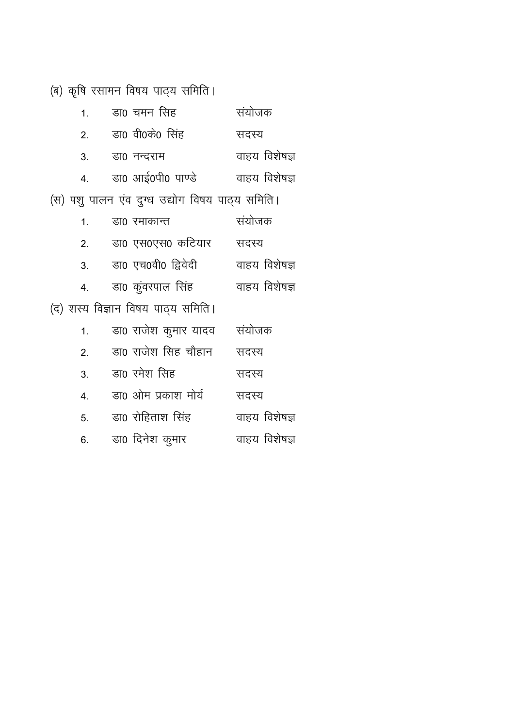(ब) कृषि रसामन विषय पाठ्य समिति।

| 1.               | डा0 चमन सिंह                                    | संयोजक        |
|------------------|-------------------------------------------------|---------------|
| 2.               | डा0 वी0के0 सिंह                                 | सदस्य         |
| 3.               | डा0 नन्दराम                                     | वाहय विशेषज्ञ |
| $\overline{4}$ . | डा0 आई0पी0 पाण्डे                               | वाहय विशेषज्ञ |
|                  | (स) पशु पालन एंव दुग्ध उद्योग विषय पाठ्य समिति। |               |
| 1.               | डा0 रमाकान्त                                    | संयोजक        |
| 2.               | डा० एस०एस० कटियार                               | सदस्य         |
| 3.               | डा0 एच0वी0 द्विवेदी                             | वाहय विशेषज्ञ |
| 4.               | डा0 कुंवरपाल सिंह                               | वाहय विशेषज्ञ |
|                  | (द) शस्य विज्ञान विषय पाठ्य समिति।              |               |
| 1.               | डा0 राजेश कुमार यादव                            | संयोजक        |
| 2.               | डा0 राजेश सिह चौहान                             | सदस्य         |
| 3.               | डा0 रमेश सिंह                                   | सदस्य         |
| $\overline{4}$ . | डा0 ओम प्रकाश मोर्य                             | सदस्य         |
| 5.               | डा0 रोहिताश सिंह                                | वाहय विशेषज्ञ |
| 6.               | डा0 दिनेश कुमार                                 | वाहय विशेषज्ञ |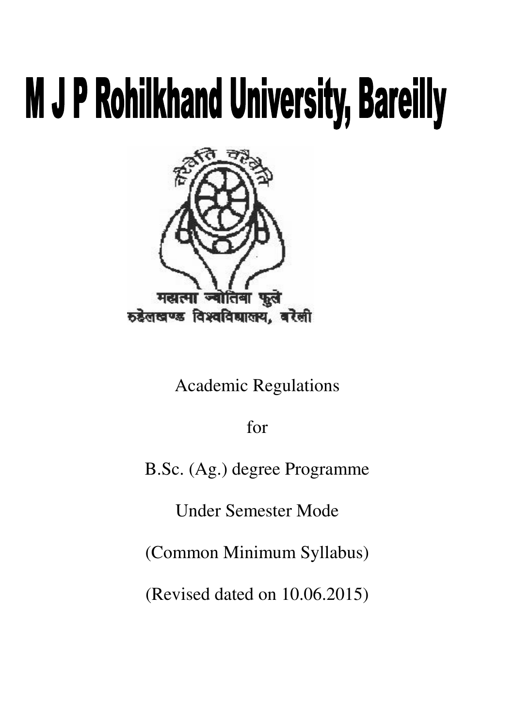# **M J P Rohilkhand University, Bareilly**



Academic Regulations

for

B.Sc. (Ag.) degree Programme

Under Semester Mode

(Common Minimum Syllabus)

(Revised dated on 10.06.2015)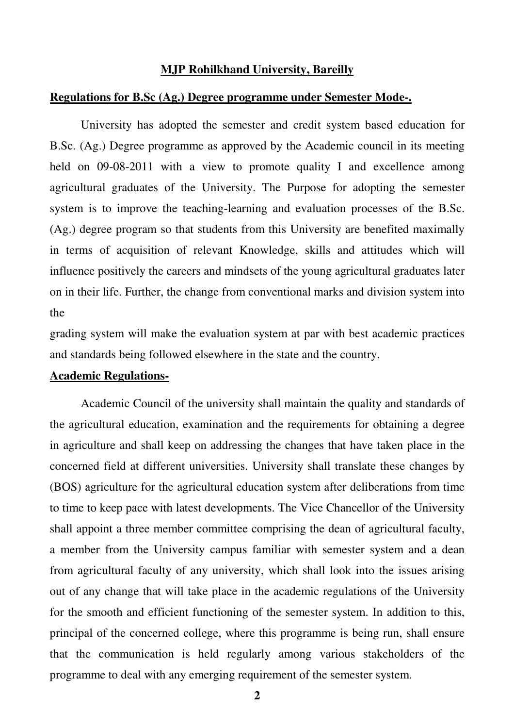#### **MJP Rohilkhand University, Bareilly**

#### **Regulations for B.Sc (Ag.) Degree programme under Semester Mode-.**

University has adopted the semester and credit system based education for B.Sc. (Ag.) Degree programme as approved by the Academic council in its meeting held on 09-08-2011 with a view to promote quality I and excellence among agricultural graduates of the University. The Purpose for adopting the semester system is to improve the teaching-learning and evaluation processes of the B.Sc. (Ag.) degree program so that students from this University are benefited maximally in terms of acquisition of relevant Knowledge, skills and attitudes which will influence positively the careers and mindsets of the young agricultural graduates later on in their life. Further, the change from conventional marks and division system into the

grading system will make the evaluation system at par with best academic practices and standards being followed elsewhere in the state and the country.

#### **Academic Regulations-**

Academic Council of the university shall maintain the quality and standards of the agricultural education, examination and the requirements for obtaining a degree in agriculture and shall keep on addressing the changes that have taken place in the concerned field at different universities. University shall translate these changes by (BOS) agriculture for the agricultural education system after deliberations from time to time to keep pace with latest developments. The Vice Chancellor of the University shall appoint a three member committee comprising the dean of agricultural faculty, a member from the University campus familiar with semester system and a dean from agricultural faculty of any university, which shall look into the issues arising out of any change that will take place in the academic regulations of the University for the smooth and efficient functioning of the semester system. In addition to this, principal of the concerned college, where this programme is being run, shall ensure that the communication is held regularly among various stakeholders of the programme to deal with any emerging requirement of the semester system.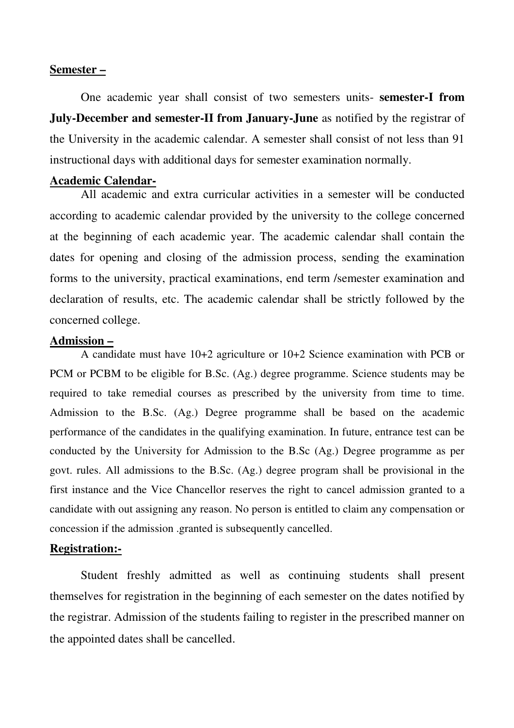#### **Semester –**

One academic year shall consist of two semesters units- **semester-I from July-December and semester-II from January-June** as notified by the registrar of the University in the academic calendar. A semester shall consist of not less than 91 instructional days with additional days for semester examination normally.

#### **Academic Calendar-**

All academic and extra curricular activities in a semester will be conducted according to academic calendar provided by the university to the college concerned at the beginning of each academic year. The academic calendar shall contain the dates for opening and closing of the admission process, sending the examination forms to the university, practical examinations, end term /semester examination and declaration of results, etc. The academic calendar shall be strictly followed by the concerned college.

#### **Admission –**

A candidate must have 10+2 agriculture or 10+2 Science examination with PCB or PCM or PCBM to be eligible for B.Sc. (Ag.) degree programme. Science students may be required to take remedial courses as prescribed by the university from time to time. Admission to the B.Sc. (Ag.) Degree programme shall be based on the academic performance of the candidates in the qualifying examination. In future, entrance test can be conducted by the University for Admission to the B.Sc (Ag.) Degree programme as per govt. rules. All admissions to the B.Sc. (Ag.) degree program shall be provisional in the first instance and the Vice Chancellor reserves the right to cancel admission granted to a candidate with out assigning any reason. No person is entitled to claim any compensation or concession if the admission .granted is subsequently cancelled.

#### **Registration:-**

Student freshly admitted as well as continuing students shall present themselves for registration in the beginning of each semester on the dates notified by the registrar. Admission of the students failing to register in the prescribed manner on the appointed dates shall be cancelled.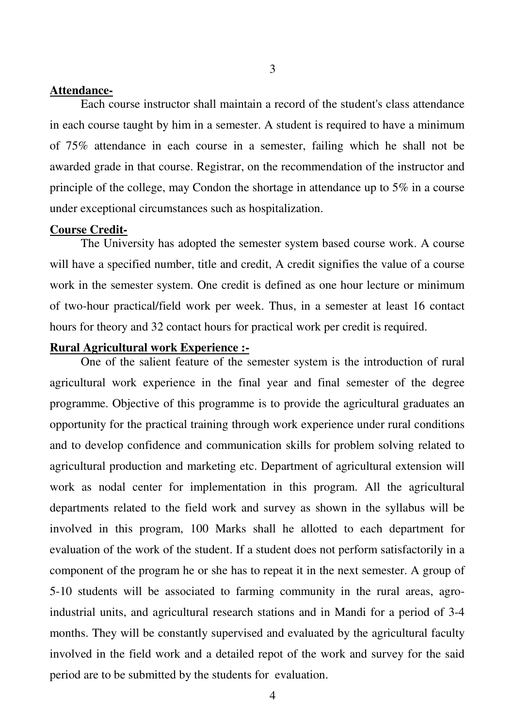#### **Attendance-**

Each course instructor shall maintain a record of the student's class attendance in each course taught by him in a semester. A student is required to have a minimum of 75% attendance in each course in a semester, failing which he shall not be awarded grade in that course. Registrar, on the recommendation of the instructor and principle of the college, may Condon the shortage in attendance up to 5% in a course under exceptional circumstances such as hospitalization.

#### **Course Credit-**

The University has adopted the semester system based course work. A course will have a specified number, title and credit, A credit signifies the value of a course work in the semester system. One credit is defined as one hour lecture or minimum of two-hour practical/field work per week. Thus, in a semester at least 16 contact hours for theory and 32 contact hours for practical work per credit is required.

#### **Rural Agricultural work Experience :-**

One of the salient feature of the semester system is the introduction of rural agricultural work experience in the final year and final semester of the degree programme. Objective of this programme is to provide the agricultural graduates an opportunity for the practical training through work experience under rural conditions and to develop confidence and communication skills for problem solving related to agricultural production and marketing etc. Department of agricultural extension will work as nodal center for implementation in this program. All the agricultural departments related to the field work and survey as shown in the syllabus will be involved in this program, 100 Marks shall he allotted to each department for evaluation of the work of the student. If a student does not perform satisfactorily in a component of the program he or she has to repeat it in the next semester. A group of 5-10 students will be associated to farming community in the rural areas, agroindustrial units, and agricultural research stations and in Mandi for a period of 3-4 months. They will be constantly supervised and evaluated by the agricultural faculty involved in the field work and a detailed repot of the work and survey for the said period are to be submitted by the students for evaluation.

3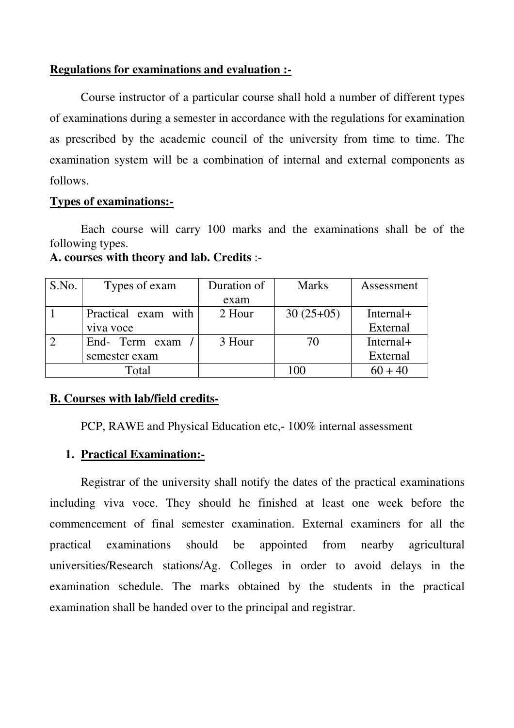#### **Regulations for examinations and evaluation :-**

Course instructor of a particular course shall hold a number of different types of examinations during a semester in accordance with the regulations for examination as prescribed by the academic council of the university from time to time. The examination system will be a combination of internal and external components as follows.

#### **Types of examinations:-**

Each course will carry 100 marks and the examinations shall be of the following types.

| S.No. | Types of exam       | Duration of | <b>Marks</b> | Assessment |
|-------|---------------------|-------------|--------------|------------|
|       |                     | exam        |              |            |
|       | Practical exam with | 2 Hour      | $30(25+05)$  | Internal+  |
|       | viva voce           |             |              | External   |
|       | End- Term exam      | 3 Hour      | 70           | Internal+  |
|       | semester exam       |             |              | External   |
|       | Total               |             | 100          | $60 + 40$  |

**A. courses with theory and lab. Credits** :-

#### **B. Courses with lab/field credits-**

PCP, RAWE and Physical Education etc,- 100% internal assessment

#### **1. Practical Examination:-**

 Registrar of the university shall notify the dates of the practical examinations including viva voce. They should he finished at least one week before the commencement of final semester examination. External examiners for all the practical examinations should be appointed from nearby agricultural universities/Research stations/Ag. Colleges in order to avoid delays in the examination schedule. The marks obtained by the students in the practical examination shall be handed over to the principal and registrar.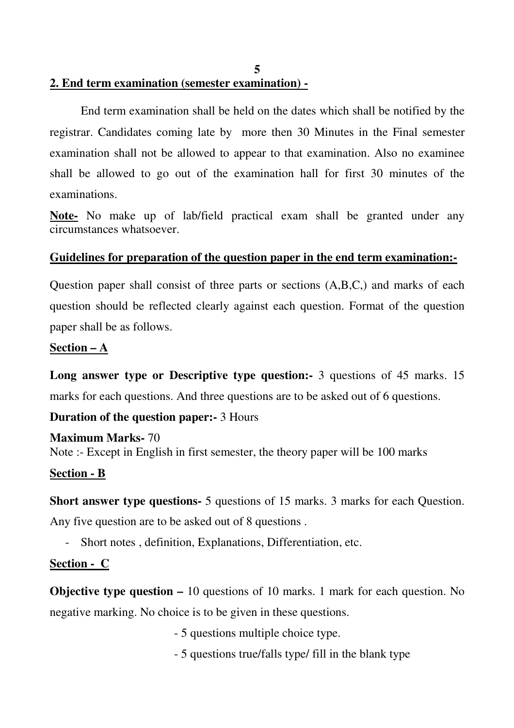**2. End term examination (semester examination) -** 

End term examination shall be held on the dates which shall be notified by the registrar. Candidates coming late by more then 30 Minutes in the Final semester examination shall not be allowed to appear to that examination. Also no examinee shall be allowed to go out of the examination hall for first 30 minutes of the examinations.

**Note-** No make up of lab/field practical exam shall be granted under any circumstances whatsoever.

#### **Guidelines for preparation of the question paper in the end term examination:-**

Question paper shall consist of three parts or sections (A,B,C,) and marks of each question should be reflected clearly against each question. Format of the question paper shall be as follows.

#### **Section – A**

**Long answer type or Descriptive type question:-** 3 questions of 45 marks. 15 marks for each questions. And three questions are to be asked out of 6 questions.

#### **Duration of the question paper:-** 3 Hours

**Maximum Marks-** 70 Note :- Except in English in first semester, the theory paper will be 100 marks

#### **Section - B**

**Short answer type questions-** 5 questions of 15 marks. 3 marks for each Question.

Any five question are to be asked out of 8 questions .

- Short notes , definition, Explanations, Differentiation, etc.

#### **Section - C**

**Objective type question –** 10 questions of 10 marks. 1 mark for each question. No negative marking. No choice is to be given in these questions.

- 5 questions multiple choice type.

- 5 questions true/falls type/ fill in the blank type

**5**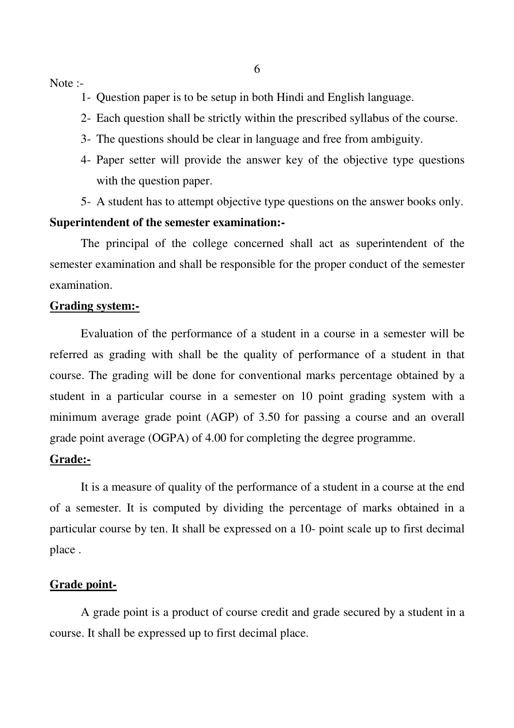Note :-

1- Question paper is to be setup in both Hindi and English language.

- 2- Each question shall be strictly within the prescribed syllabus of the course.
- 3- The questions should be clear in language and free from ambiguity.
- 4- Paper setter will provide the answer key of the objective type questions with the question paper.
- 5- A student has to attempt objective type questions on the answer books only.

#### **Superintendent of the semester examination:-**

The principal of the college concerned shall act as superintendent of the semester examination and shall be responsible for the proper conduct of the semester examination.

#### **Grading system:-**

 Evaluation of the performance of a student in a course in a semester will be referred as grading with shall be the quality of performance of a student in that course. The grading will be done for conventional marks percentage obtained by a student in a particular course in a semester on 10 point grading system with a minimum average grade point (AGP) of 3.50 for passing a course and an overall grade point average (OGPA) of 4.00 for completing the degree programme.

#### **Grade:-**

 It is a measure of quality of the performance of a student in a course at the end of a semester. It is computed by dividing the percentage of marks obtained in a particular course by ten. It shall be expressed on a 10- point scale up to first decimal place .

#### **Grade point-**

A grade point is a product of course credit and grade secured by a student in a course. It shall be expressed up to first decimal place.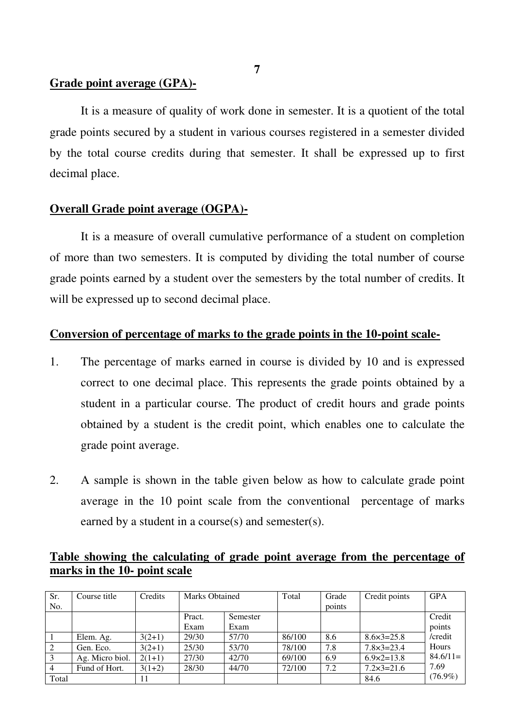#### **Grade point average (GPA)-**

It is a measure of quality of work done in semester. It is a quotient of the total grade points secured by a student in various courses registered in a semester divided by the total course credits during that semester. It shall be expressed up to first decimal place.

#### **Overall Grade point average (OGPA)-**

It is a measure of overall cumulative performance of a student on completion of more than two semesters. It is computed by dividing the total number of course grade points earned by a student over the semesters by the total number of credits. It will be expressed up to second decimal place.

#### **Conversion of percentage of marks to the grade points in the 10-point scale-**

- 1. The percentage of marks earned in course is divided by 10 and is expressed correct to one decimal place. This represents the grade points obtained by a student in a particular course. The product of credit hours and grade points obtained by a student is the credit point, which enables one to calculate the grade point average.
- 2. A sample is shown in the table given below as how to calculate grade point average in the 10 point scale from the conventional percentage of marks earned by a student in a course(s) and semester(s).

#### **Table showing the calculating of grade point average from the percentage of marks in the 10- point scale**

| Sr.   | Course title    | Credits  | Marks Obtained |          | Total  | Grade  | Credit points         | <b>GPA</b> |
|-------|-----------------|----------|----------------|----------|--------|--------|-----------------------|------------|
| No.   |                 |          |                |          |        | points |                       |            |
|       |                 |          | Pract.         | Semester |        |        |                       | Credit     |
|       |                 |          | Exam           | Exam     |        |        |                       | points     |
|       | Elem. Ag.       | $3(2+1)$ | 29/30          | 57/70    | 86/100 | 8.6    | $8.6 \times 3 = 25.8$ | /credit    |
| 2     | Gen. Eco.       | $3(2+1)$ | 25/30          | 53/70    | 78/100 | 7.8    | $7.8 \times 3 = 23.4$ | Hours      |
| 3     | Ag. Micro biol. | $2(1+1)$ | 27/30          | 42/70    | 69/100 | 6.9    | $6.9 \times 2 = 13.8$ | $84.6/11=$ |
|       | Fund of Hort.   | $3(1+2)$ | 28/30          | 44/70    | 72/100 | 7.2    | $7.2 \times 3 = 21.6$ | 7.69       |
| Total |                 |          |                |          |        |        | 84.6                  | $(76.9\%)$ |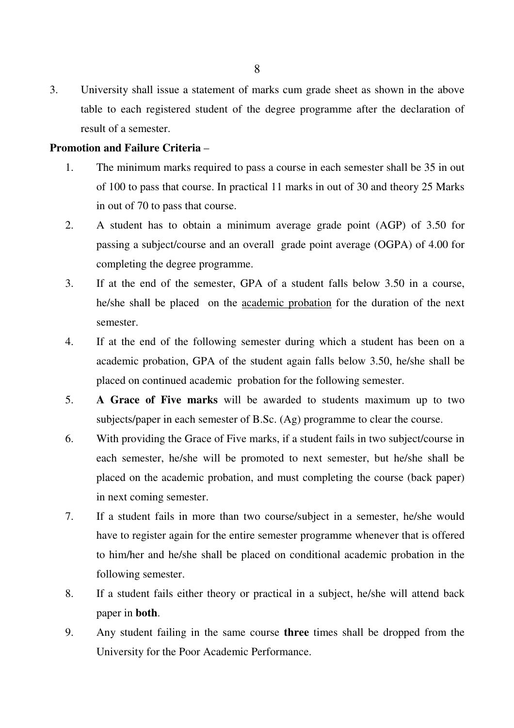3. University shall issue a statement of marks cum grade sheet as shown in the above table to each registered student of the degree programme after the declaration of result of a semester.

#### **Promotion and Failure Criteria** –

- 1. The minimum marks required to pass a course in each semester shall be 35 in out of 100 to pass that course. In practical 11 marks in out of 30 and theory 25 Marks in out of 70 to pass that course.
- 2. A student has to obtain a minimum average grade point (AGP) of 3.50 for passing a subject/course and an overall grade point average (OGPA) of 4.00 for completing the degree programme.
- 3. If at the end of the semester, GPA of a student falls below 3.50 in a course, he/she shall be placed on the academic probation for the duration of the next semester.
- 4. If at the end of the following semester during which a student has been on a academic probation, GPA of the student again falls below 3.50, he/she shall be placed on continued academic probation for the following semester.
- 5. **A Grace of Five marks** will be awarded to students maximum up to two subjects/paper in each semester of B.Sc. (Ag) programme to clear the course.
- 6. With providing the Grace of Five marks, if a student fails in two subject/course in each semester, he/she will be promoted to next semester, but he/she shall be placed on the academic probation, and must completing the course (back paper) in next coming semester.
- 7. If a student fails in more than two course/subject in a semester, he/she would have to register again for the entire semester programme whenever that is offered to him/her and he/she shall be placed on conditional academic probation in the following semester.
- 8. If a student fails either theory or practical in a subject, he/she will attend back paper in **both**.
- 9. Any student failing in the same course **three** times shall be dropped from the University for the Poor Academic Performance.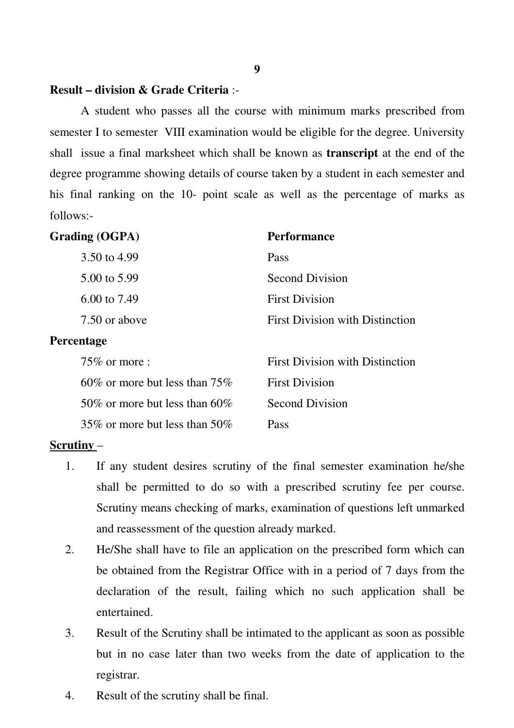#### **Result – division & Grade Criteria** :-

 A student who passes all the course with minimum marks prescribed from semester I to semester VIII examination would be eligible for the degree. University shall issue a final marksheet which shall be known as **transcript** at the end of the degree programme showing details of course taken by a student in each semester and his final ranking on the 10- point scale as well as the percentage of marks as follows:-

| <b>Grading (OGPA)</b>             | <b>Performance</b>                     |
|-----------------------------------|----------------------------------------|
| 3.50 to 4.99                      | Pass                                   |
| 5.00 to 5.99                      | <b>Second Division</b>                 |
| 6.00 to $7.49$                    | <b>First Division</b>                  |
| 7.50 or above                     | <b>First Division with Distinction</b> |
| Percentage                        |                                        |
| $75\%$ or more :                  | <b>First Division with Distinction</b> |
| 60\% or more but less than $75\%$ | <b>First Division</b>                  |
| 50\% or more but less than 60\%   | <b>Second Division</b>                 |
| 35\% or more but less than 50\%   | Pass                                   |

#### **Scrutiny** –

- 1. If any student desires scrutiny of the final semester examination he/she shall be permitted to do so with a prescribed scrutiny fee per course. Scrutiny means checking of marks, examination of questions left unmarked and reassessment of the question already marked.
- 2. He/She shall have to file an application on the prescribed form which can be obtained from the Registrar Office with in a period of 7 days from the declaration of the result, failing which no such application shall be entertained.
- 3. Result of the Scrutiny shall be intimated to the applicant as soon as possible but in no case later than two weeks from the date of application to the registrar.
- 4. Result of the scrutiny shall be final.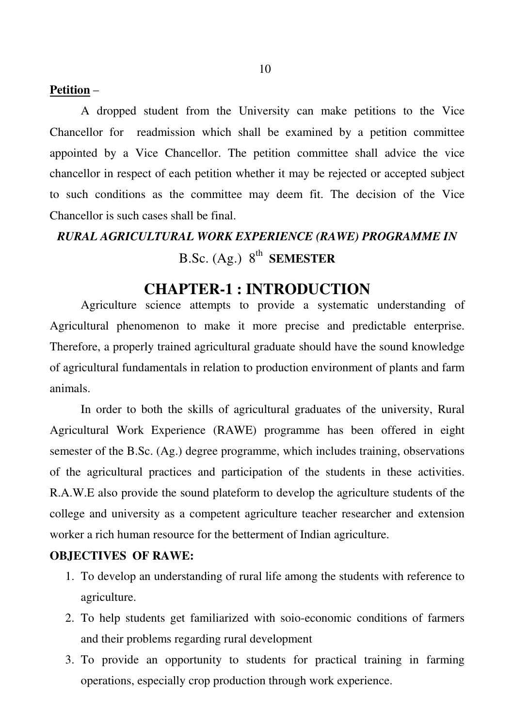#### **Petition** –

 A dropped student from the University can make petitions to the Vice Chancellor for readmission which shall be examined by a petition committee appointed by a Vice Chancellor. The petition committee shall advice the vice chancellor in respect of each petition whether it may be rejected or accepted subject to such conditions as the committee may deem fit. The decision of the Vice Chancellor is such cases shall be final.

# *RURAL AGRICULTURAL WORK EXPERIENCE (RAWE) PROGRAMME IN*  B.Sc. (Ag.) 8<sup>th</sup> SEMESTER

#### **CHAPTER-1 : INTRODUCTION**

 Agriculture science attempts to provide a systematic understanding of Agricultural phenomenon to make it more precise and predictable enterprise. Therefore, a properly trained agricultural graduate should have the sound knowledge of agricultural fundamentals in relation to production environment of plants and farm animals.

 In order to both the skills of agricultural graduates of the university, Rural Agricultural Work Experience (RAWE) programme has been offered in eight semester of the B.Sc. (Ag.) degree programme, which includes training, observations of the agricultural practices and participation of the students in these activities. R.A.W.E also provide the sound plateform to develop the agriculture students of the college and university as a competent agriculture teacher researcher and extension worker a rich human resource for the betterment of Indian agriculture.

#### **OBJECTIVES OF RAWE:**

- 1. To develop an understanding of rural life among the students with reference to agriculture.
- 2. To help students get familiarized with soio-economic conditions of farmers and their problems regarding rural development
- 3. To provide an opportunity to students for practical training in farming operations, especially crop production through work experience.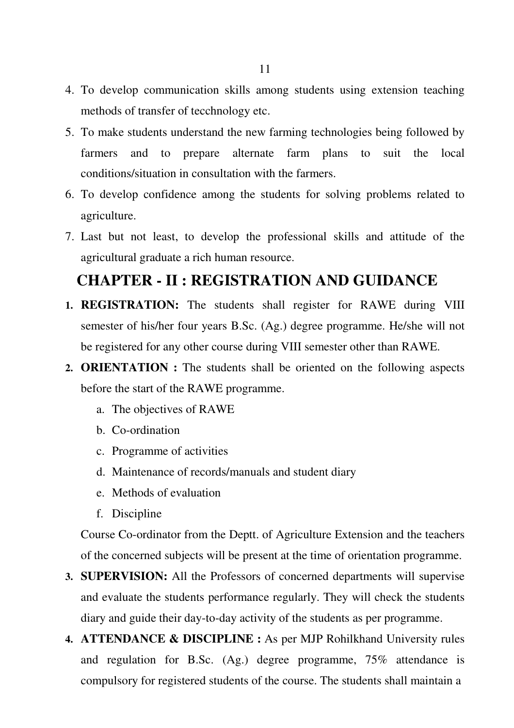- 4. To develop communication skills among students using extension teaching methods of transfer of tecchnology etc.
- 5. To make students understand the new farming technologies being followed by farmers and to prepare alternate farm plans to suit the local conditions/situation in consultation with the farmers.
- 6. To develop confidence among the students for solving problems related to agriculture.
- 7. Last but not least, to develop the professional skills and attitude of the agricultural graduate a rich human resource.

## **CHAPTER - II : REGISTRATION AND GUIDANCE**

- **1. REGISTRATION:** The students shall register for RAWE during VIII semester of his/her four years B.Sc. (Ag.) degree programme. He/she will not be registered for any other course during VIII semester other than RAWE.
- **2. ORIENTATION :** The students shall be oriented on the following aspects before the start of the RAWE programme.
	- a. The objectives of RAWE
	- b. Co-ordination
	- c. Programme of activities
	- d. Maintenance of records/manuals and student diary
	- e. Methods of evaluation
	- f. Discipline

Course Co-ordinator from the Deptt. of Agriculture Extension and the teachers of the concerned subjects will be present at the time of orientation programme.

- **3. SUPERVISION:** All the Professors of concerned departments will supervise and evaluate the students performance regularly. They will check the students diary and guide their day-to-day activity of the students as per programme.
- **4. ATTENDANCE & DISCIPLINE :** As per MJP Rohilkhand University rules and regulation for B.Sc. (Ag.) degree programme, 75% attendance is compulsory for registered students of the course. The students shall maintain a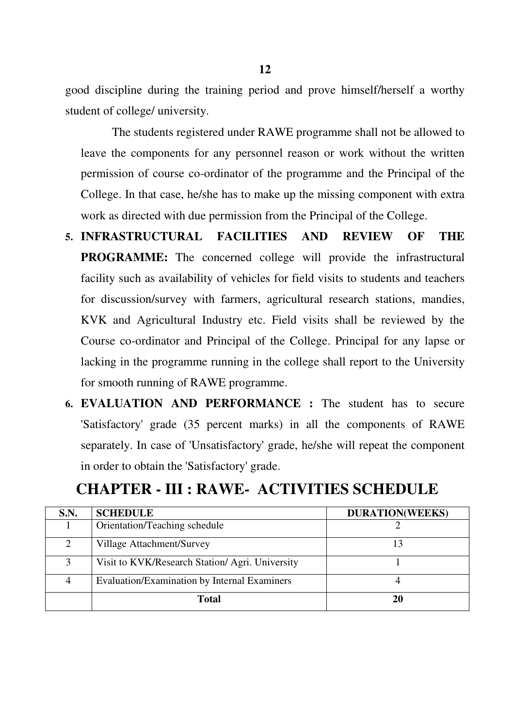good discipline during the training period and prove himself/herself a worthy student of college/ university.

 The students registered under RAWE programme shall not be allowed to leave the components for any personnel reason or work without the written permission of course co-ordinator of the programme and the Principal of the College. In that case, he/she has to make up the missing component with extra work as directed with due permission from the Principal of the College.

- **5. INFRASTRUCTURAL FACILITIES AND REVIEW OF THE PROGRAMME:** The concerned college will provide the infrastructural facility such as availability of vehicles for field visits to students and teachers for discussion/survey with farmers, agricultural research stations, mandies, KVK and Agricultural Industry etc. Field visits shall be reviewed by the Course co-ordinator and Principal of the College. Principal for any lapse or lacking in the programme running in the college shall report to the University for smooth running of RAWE programme.
- **6. EVALUATION AND PERFORMANCE :** The student has to secure 'Satisfactory' grade (35 percent marks) in all the components of RAWE separately. In case of 'Unsatisfactory' grade, he/she will repeat the component in order to obtain the 'Satisfactory' grade.

#### **CHAPTER - III : RAWE- ACTIVITIES SCHEDULE**

| S.N. | <b>SCHEDULE</b>                                 | <b>DURATION(WEEKS)</b> |
|------|-------------------------------------------------|------------------------|
|      | Orientation/Teaching schedule                   |                        |
| 2    | Village Attachment/Survey                       | 13                     |
| 3    | Visit to KVK/Research Station/ Agri. University |                        |
| 4    | Evaluation/Examination by Internal Examiners    |                        |
|      | <b>Total</b>                                    | 20                     |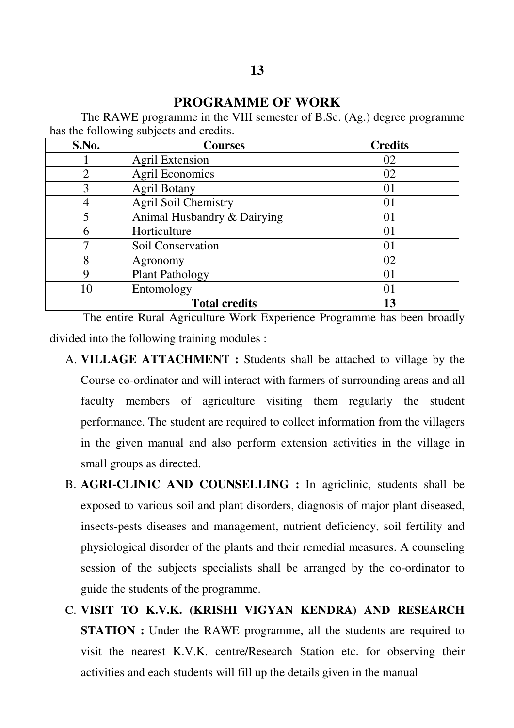#### **PROGRAMME OF WORK**

 The RAWE programme in the VIII semester of B.Sc. (Ag.) degree programme has the following subjects and credits.

| S.No.          | <b>Courses</b>              | <b>Credits</b> |
|----------------|-----------------------------|----------------|
|                | <b>Agril Extension</b>      | 02             |
| $\overline{2}$ | <b>Agril Economics</b>      | 02             |
| 3              | <b>Agril Botany</b>         | 01             |
|                | <b>Agril Soil Chemistry</b> | 01             |
|                | Animal Husbandry & Dairying | 01             |
| 6              | Horticulture                | 01             |
|                | Soil Conservation           | 01             |
| 8              | Agronomy                    | 02             |
| 9              | <b>Plant Pathology</b>      | 01             |
| 10             | Entomology                  | $\overline{0}$ |
|                | <b>Total credits</b>        | 13             |

 The entire Rural Agriculture Work Experience Programme has been broadly divided into the following training modules :

- A. **VILLAGE ATTACHMENT :** Students shall be attached to village by the Course co-ordinator and will interact with farmers of surrounding areas and all faculty members of agriculture visiting them regularly the student performance. The student are required to collect information from the villagers in the given manual and also perform extension activities in the village in small groups as directed.
- B. **AGRI-CLINIC AND COUNSELLING :** In agriclinic, students shall be exposed to various soil and plant disorders, diagnosis of major plant diseased, insects-pests diseases and management, nutrient deficiency, soil fertility and physiological disorder of the plants and their remedial measures. A counseling session of the subjects specialists shall be arranged by the co-ordinator to guide the students of the programme.
- C. **VISIT TO K.V.K. (KRISHI VIGYAN KENDRA) AND RESEARCH STATION :** Under the RAWE programme, all the students are required to visit the nearest K.V.K. centre/Research Station etc. for observing their activities and each students will fill up the details given in the manual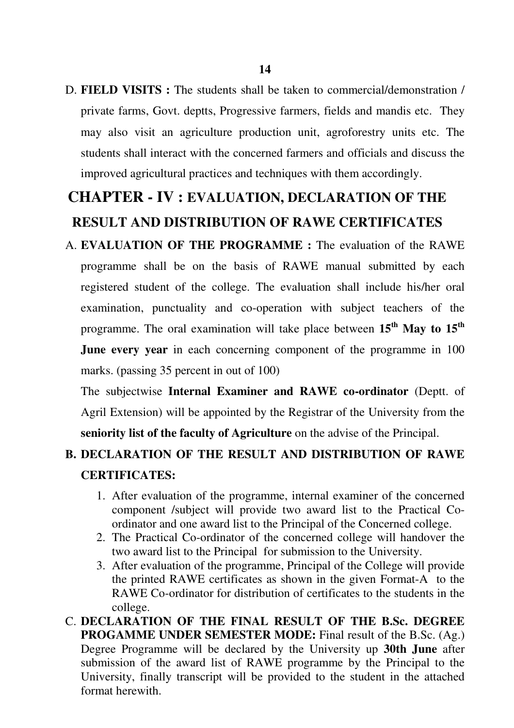D. **FIELD VISITS :** The students shall be taken to commercial/demonstration / private farms, Govt. deptts, Progressive farmers, fields and mandis etc. They may also visit an agriculture production unit, agroforestry units etc. The students shall interact with the concerned farmers and officials and discuss the improved agricultural practices and techniques with them accordingly.

# **CHAPTER - IV : EVALUATION, DECLARATION OF THE RESULT AND DISTRIBUTION OF RAWE CERTIFICATES**

A. **EVALUATION OF THE PROGRAMME :** The evaluation of the RAWE programme shall be on the basis of RAWE manual submitted by each registered student of the college. The evaluation shall include his/her oral examination, punctuality and co-operation with subject teachers of the programme. The oral examination will take place between **15th May to 15th June every year** in each concerning component of the programme in 100 marks. (passing 35 percent in out of 100)

The subjectwise **Internal Examiner and RAWE co-ordinator** (Deptt. of Agril Extension) will be appointed by the Registrar of the University from the **seniority list of the faculty of Agriculture** on the advise of the Principal.

### **B. DECLARATION OF THE RESULT AND DISTRIBUTION OF RAWE CERTIFICATES:**

- 1. After evaluation of the programme, internal examiner of the concerned component /subject will provide two award list to the Practical Coordinator and one award list to the Principal of the Concerned college.
- 2. The Practical Co-ordinator of the concerned college will handover the two award list to the Principal for submission to the University.
- 3. After evaluation of the programme, Principal of the College will provide the printed RAWE certificates as shown in the given Format-A to the RAWE Co-ordinator for distribution of certificates to the students in the college.
- C. **DECLARATION OF THE FINAL RESULT OF THE B.Sc. DEGREE PROGAMME UNDER SEMESTER MODE:** Final result of the B.Sc. (Ag.) Degree Programme will be declared by the University up **30th June** after submission of the award list of RAWE programme by the Principal to the University, finally transcript will be provided to the student in the attached format herewith.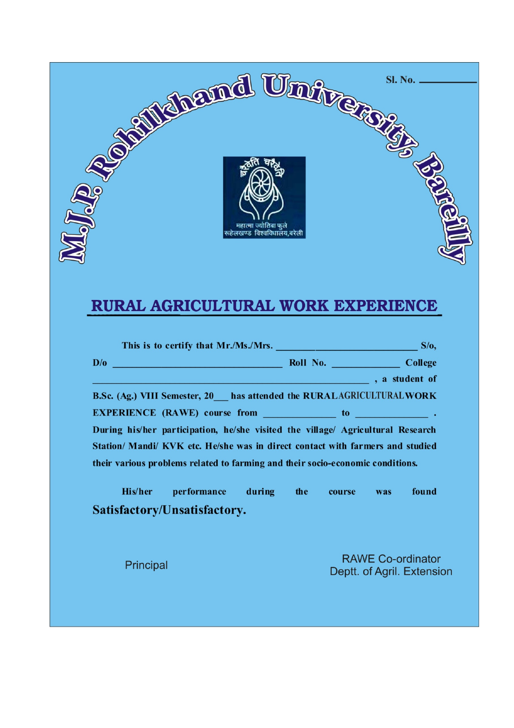

# RURAL AGRICULTURAL WORK EXPERIENCE

|           | D/o College                                                                     |  |  |                            |
|-----------|---------------------------------------------------------------------------------|--|--|----------------------------|
|           |                                                                                 |  |  |                            |
|           | B.Sc. (Ag.) VIII Semester, 20__ has attended the RURALAGRICULTURAL WORK         |  |  |                            |
|           |                                                                                 |  |  |                            |
|           | During his/her participation, he/she visited the village/ Agricultural Research |  |  |                            |
|           | Station/ Mandi/ KVK etc. He/she was in direct contact with farmers and studied  |  |  |                            |
|           | their various problems related to farming and their socio-economic conditions.  |  |  |                            |
|           | His/her performance during the course was                                       |  |  | found                      |
|           | Satisfactory/Unsatisfactory.                                                    |  |  |                            |
|           |                                                                                 |  |  |                            |
| Principal |                                                                                 |  |  | <b>RAWE Co-ordinator</b>   |
|           |                                                                                 |  |  | Deptt. of Agril. Extension |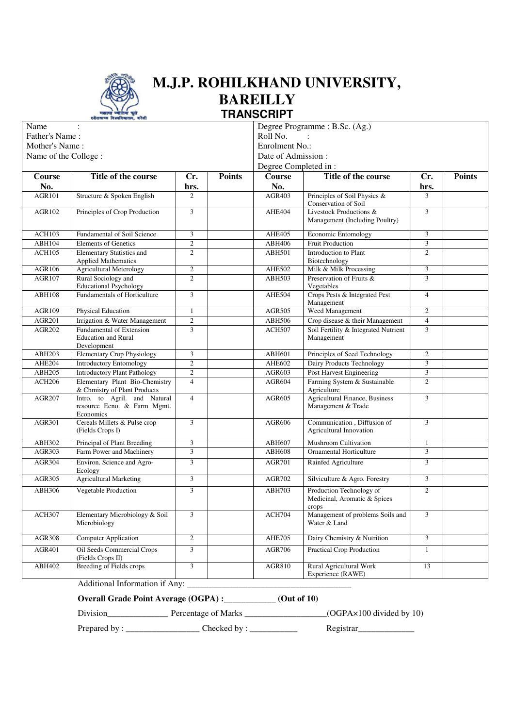

#### **M.J.P. ROHILKHAND UNIVERSITY, BAREILLY TRANSCRIPT** Degree Programme : B.Sc. (Ag.)

٦

| Name<br>Father's Name:<br>Mother's Name:<br>Name of the College: |                                                                          |                | Degree Programme : B.Sc. (Ag.)<br>Roll No.<br>Enrolment No.:<br>Date of Admission:<br>Degree Completed in: |               |                                                                   |                         |               |
|------------------------------------------------------------------|--------------------------------------------------------------------------|----------------|------------------------------------------------------------------------------------------------------------|---------------|-------------------------------------------------------------------|-------------------------|---------------|
| Course                                                           | Title of the course                                                      | Cr.            | <b>Points</b>                                                                                              | <b>Course</b> | Title of the course                                               | Cr.                     | <b>Points</b> |
| No.                                                              |                                                                          | hrs.           |                                                                                                            | No.           |                                                                   | hrs.                    |               |
| <b>AGR101</b>                                                    | Structure & Spoken English                                               | $\overline{2}$ |                                                                                                            | <b>AGR403</b> | Principles of Soil Physics &<br>Conservation of Soil              | 3                       |               |
| AGR102                                                           | Principles of Crop Production                                            | 3              |                                                                                                            | AHE404        | Livestock Productions &<br>Management (Including Poultry)         | $\overline{3}$          |               |
| <b>ACH103</b>                                                    | Fundamental of Soil Science                                              | 3              |                                                                                                            | AHE405        | Economic Entomology                                               | 3                       |               |
| ABH104                                                           | <b>Elements of Genetics</b>                                              | $\overline{c}$ |                                                                                                            | ABH406        | <b>Fruit Production</b>                                           | 3                       |               |
| <b>ACH105</b>                                                    | Elementary Statistics and<br><b>Applied Mathematics</b>                  | $\overline{2}$ |                                                                                                            | <b>ABH501</b> | Introduction to Plant<br>Biotechnology                            | $\overline{2}$          |               |
| AGR106                                                           | <b>Agricultural Meterology</b>                                           | $\mathbf{2}$   |                                                                                                            | AHE502        | Milk & Milk Processing                                            | 3                       |               |
| <b>AGR107</b>                                                    | Rural Sociology and<br><b>Educational Psychology</b>                     | $\overline{2}$ |                                                                                                            | ABH503        | Preservation of Fruits &<br>Vegetables                            | 3                       |               |
| <b>ABH108</b>                                                    | <b>Fundamentals of Horticulture</b>                                      | 3              |                                                                                                            | AHE504        | Crops Pests & Integrated Pest<br>Management                       | $\overline{4}$          |               |
| AGR109                                                           | Physical Education                                                       | $\mathbf{1}$   |                                                                                                            | <b>AGR505</b> | Weed Management                                                   | $\overline{c}$          |               |
| <b>AGR201</b>                                                    | Irrigation & Water Management                                            | $\sqrt{2}$     |                                                                                                            | ABH506        | Crop disease & their Management                                   | $\overline{4}$          |               |
| <b>AGR202</b>                                                    | Fundamental of Extension<br><b>Education and Rural</b><br>Development    | 3              |                                                                                                            | <b>ACH507</b> | Soil Fertility & Integrated Nutrient<br>Management                | 3                       |               |
| ABH203                                                           | <b>Elementary Crop Physiology</b>                                        | 3              |                                                                                                            | ABH601        | Principles of Seed Technology                                     | $\overline{c}$          |               |
| AHE204                                                           | <b>Introductory Entomology</b>                                           | $\overline{c}$ |                                                                                                            | AHE602        | Dairy Products Technology                                         | 3                       |               |
| ABH205                                                           | <b>Introductory Plant Pathology</b>                                      | $\overline{2}$ |                                                                                                            | AGR603        | Post Harvest Engineering                                          | $\overline{\mathbf{3}}$ |               |
| <b>ACH206</b>                                                    | Elementary Plant Bio-Chemistry<br>& Chmistry of Plant Products           | $\overline{4}$ |                                                                                                            | <b>AGR604</b> | Farming System & Sustainable<br>Agriculture                       | $\overline{2}$          |               |
| <b>AGR207</b>                                                    | Intro. to Agril. and Natural<br>resource Ecno. & Farm Mgmt.<br>Economics | $\overline{4}$ |                                                                                                            | AGR605        | <b>Agricultural Finance, Business</b><br>Management & Trade       | 3                       |               |
| <b>AGR301</b>                                                    | Cereals Millets & Pulse crop<br>(Fields Crops I)                         | $\overline{3}$ |                                                                                                            | <b>AGR606</b> | Communication, Diffusion of<br>Agricultural Innovation            | $\overline{3}$          |               |
| ABH302                                                           | Principal of Plant Breeding                                              | 3              |                                                                                                            | ABH607        | Mushroom Cultivation                                              | $\mathbf{1}$            |               |
| AGR303                                                           | Farm Power and Machinery                                                 | 3              |                                                                                                            | <b>ABH608</b> | <b>Ornamental Horticulture</b>                                    | 3                       |               |
| AGR304                                                           | Environ. Science and Agro-<br>Ecology                                    | 3              |                                                                                                            | <b>AGR701</b> | Rainfed Agriculture                                               | 3                       |               |
| AGR305                                                           | <b>Agricultural Marketing</b>                                            | 3              |                                                                                                            | <b>AGR702</b> | Silviculture & Agro. Forestry                                     | 3                       |               |
| ABH306                                                           | Vegetable Production                                                     | $\overline{3}$ |                                                                                                            | <b>ABH703</b> | Production Technology of<br>Medicinal, Aromatic & Spices<br>crops | $\overline{2}$          |               |
| ACH307                                                           | Elementary Microbiology & Soil<br>Microbiology                           | 3              |                                                                                                            | <b>ACH704</b> | Management of problems Soils and<br>Water & Land                  | 3                       |               |
| <b>AGR308</b>                                                    | <b>Computer Application</b>                                              | $\overline{c}$ |                                                                                                            | <b>AHE705</b> | Dairy Chemistry & Nutrition                                       | $\overline{3}$          |               |
| <b>AGR401</b>                                                    | Oil Seeds Commercial Crops<br>(Fields Crops II)                          | 3              |                                                                                                            | <b>AGR706</b> | <b>Practical Crop Production</b>                                  | $\mathbf{1}$            |               |
| ABH402                                                           | <b>Breeding of Fields crops</b>                                          | 3              |                                                                                                            | AGR810        | Rural Agricultural Work<br>Experience (RAWE)                      | 13                      |               |

Additional Information if Any:

**Overall Grade Point Average (OGPA) :\_\_\_\_\_\_\_\_\_\_\_\_ (Out of 10)** 

Division\_\_\_\_\_\_\_\_\_\_\_\_\_\_\_\_\_\_\_\_\_\_\_\_ Percentage of Marks \_\_\_\_\_\_\_\_\_\_\_\_\_\_\_\_\_\_\_\_\_\_\_(OGPA×100 divided by 10)

Prepared by : \_\_\_\_\_\_\_\_\_\_\_\_\_\_\_\_\_ Checked by : \_\_\_\_\_\_\_\_\_\_\_ Registrar\_\_\_\_\_\_\_\_\_\_\_\_\_